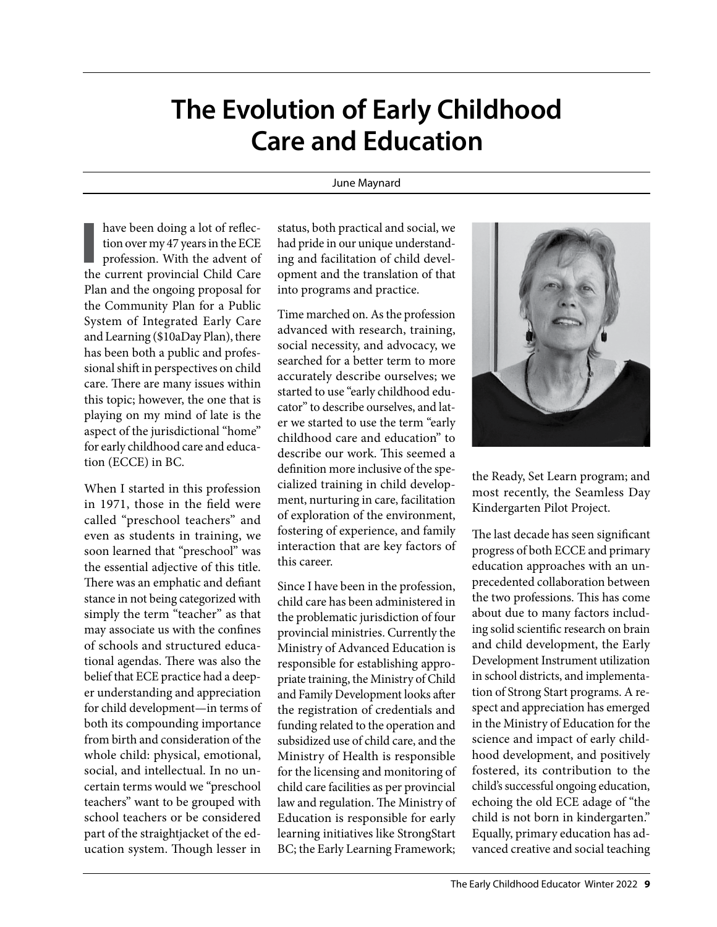## **The Evolution of Early Childhood Care and Education**

## June Maynard

**I**<br>the have been doing a lot of reflection over my 47 years in the ECE profession. With the advent of the current provincial Child Care Plan and the ongoing proposal for the Community Plan for a Public System of Integrated Early Care and Learning (\$10aDay Plan), there has been both a public and professional shift in perspectives on child care. There are many issues within this topic; however, the one that is playing on my mind of late is the aspect of the jurisdictional "home" for early childhood care and education (ECCE) in BC.

When I started in this profession in 1971, those in the field were called "preschool teachers" and even as students in training, we soon learned that "preschool" was the essential adjective of this title. There was an emphatic and defiant stance in not being categorized with simply the term "teacher" as that may associate us with the confines of schools and structured educational agendas. There was also the belief that ECE practice had a deeper understanding and appreciation for child development—in terms of both its compounding importance from birth and consideration of the whole child: physical, emotional, social, and intellectual. In no uncertain terms would we "preschool teachers" want to be grouped with school teachers or be considered part of the straightjacket of the education system. Though lesser in status, both practical and social, we had pride in our unique understanding and facilitation of child development and the translation of that into programs and practice.

Time marched on. As the profession advanced with research, training, social necessity, and advocacy, we searched for a better term to more accurately describe ourselves; we started to use "early childhood educator" to describe ourselves, and later we started to use the term "early childhood care and education" to describe our work. This seemed a definition more inclusive of the specialized training in child development, nurturing in care, facilitation of exploration of the environment, fostering of experience, and family interaction that are key factors of this career.

Since I have been in the profession, child care has been administered in the problematic jurisdiction of four provincial ministries. Currently the Ministry of Advanced Education is responsible for establishing appropriate training, the Ministry of Child and Family Development looks after the registration of credentials and funding related to the operation and subsidized use of child care, and the Ministry of Health is responsible for the licensing and monitoring of child care facilities as per provincial law and regulation. The Ministry of Education is responsible for early learning initiatives like StrongStart BC; the Early Learning Framework;



the Ready, Set Learn program; and most recently, the Seamless Day Kindergarten Pilot Project.

The last decade has seen significant progress of both ECCE and primary education approaches with an unprecedented collaboration between the two professions. This has come about due to many factors including solid scientific research on brain and child development, the Early Development Instrument utilization in school districts, and implementation of Strong Start programs. A respect and appreciation has emerged in the Ministry of Education for the science and impact of early childhood development, and positively fostered, its contribution to the child's successful ongoing education, echoing the old ECE adage of "the child is not born in kindergarten." Equally, primary education has advanced creative and social teaching